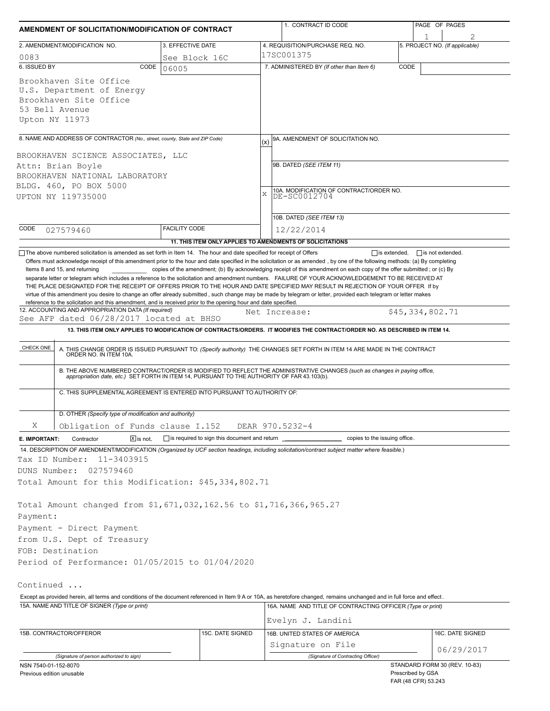| AMENDMENT OF SOLICITATION/MODIFICATION OF CONTRACT                                                                                                                            |                                                            |            | 1. CONTRACT ID CODE                                                                                                                                                                                                                                                                              |      | PAGE OF PAGES                            |  |  |  |
|-------------------------------------------------------------------------------------------------------------------------------------------------------------------------------|------------------------------------------------------------|------------|--------------------------------------------------------------------------------------------------------------------------------------------------------------------------------------------------------------------------------------------------------------------------------------------------|------|------------------------------------------|--|--|--|
|                                                                                                                                                                               |                                                            |            |                                                                                                                                                                                                                                                                                                  |      | 1                                        |  |  |  |
| 2. AMENDMENT/MODIFICATION NO.                                                                                                                                                 | 3. EFFECTIVE DATE                                          |            | 4. REQUISITION/PURCHASE REQ. NO.                                                                                                                                                                                                                                                                 |      | 5. PROJECT NO. (If applicable)           |  |  |  |
| 0083                                                                                                                                                                          | See Block 16C                                              | 17SC001375 |                                                                                                                                                                                                                                                                                                  |      |                                          |  |  |  |
| 6. ISSUED BY<br>CODE<br>Brookhaven Site Office<br>U.S. Department of Energy<br>Brookhaven Site Office<br>53 Bell Avenue                                                       | 06005                                                      |            | 7. ADMINISTERED BY (If other than Item 6)                                                                                                                                                                                                                                                        | CODE |                                          |  |  |  |
| Upton NY 11973                                                                                                                                                                |                                                            |            |                                                                                                                                                                                                                                                                                                  |      |                                          |  |  |  |
| 8. NAME AND ADDRESS OF CONTRACTOR (No., street, county, State and ZIP Code)                                                                                                   |                                                            | (x)        | 9A. AMENDMENT OF SOLICITATION NO.                                                                                                                                                                                                                                                                |      |                                          |  |  |  |
| BROOKHAVEN SCIENCE ASSOCIATES, LLC                                                                                                                                            |                                                            |            |                                                                                                                                                                                                                                                                                                  |      |                                          |  |  |  |
| Attn: Brian Boyle                                                                                                                                                             |                                                            |            | 9B. DATED (SEE ITEM 11)                                                                                                                                                                                                                                                                          |      |                                          |  |  |  |
| BROOKHAVEN NATIONAL LABORATORY                                                                                                                                                |                                                            |            |                                                                                                                                                                                                                                                                                                  |      |                                          |  |  |  |
| BLDG. 460, PO BOX 5000<br>UPTON NY 119735000                                                                                                                                  |                                                            | X          | 10A. MODIFICATION OF CONTRACT/ORDER NO.<br>DE-SC0012704                                                                                                                                                                                                                                          |      |                                          |  |  |  |
|                                                                                                                                                                               |                                                            |            | 10B. DATED (SEE ITEM 13)                                                                                                                                                                                                                                                                         |      |                                          |  |  |  |
| CODE<br>027579460                                                                                                                                                             | <b>FACILITY CODE</b>                                       |            | 12/22/2014                                                                                                                                                                                                                                                                                       |      |                                          |  |  |  |
|                                                                                                                                                                               | 11. THIS ITEM ONLY APPLIES TO AMENDMENTS OF SOLICITATIONS  |            |                                                                                                                                                                                                                                                                                                  |      |                                          |  |  |  |
| 12. ACCOUNTING AND APPROPRIATION DATA (If required)<br>See AFP dated 06/28/2017 located at BHSO<br>CHECK ONE                                                                  |                                                            |            | Net Increase:<br>13. THIS ITEM ONLY APPLIES TO MODIFICATION OF CONTRACTS/ORDERS. IT MODIFIES THE CONTRACT/ORDER NO. AS DESCRIBED IN ITEM 14.<br>A. THIS CHANGE ORDER IS ISSUED PURSUANT TO: (Specify authority) THE CHANGES SET FORTH IN ITEM 14 ARE MADE IN THE CONTRACT ORDER NO. IN ITEM 10A. |      | \$45,334,802.71                          |  |  |  |
|                                                                                                                                                                               |                                                            |            | B. THE ABOVE NUMBERED CONTRACT/ORDER IS MODIFIED TO REFLECT THE ADMINISTRATIVE CHANGES (such as changes in paying office, appropriation date, etc.) SET FORTH IN ITEM 14, PURSUANT TO THE AUTHORITY OF FAR 43.103(b).                                                                            |      |                                          |  |  |  |
| C. THIS SUPPLEMENTAL AGREEMENT IS ENTERED INTO PURSUANT TO AUTHORITY OF:                                                                                                      |                                                            |            |                                                                                                                                                                                                                                                                                                  |      |                                          |  |  |  |
| D. OTHER (Specify type of modification and authority)                                                                                                                         |                                                            |            |                                                                                                                                                                                                                                                                                                  |      |                                          |  |  |  |
| Χ<br>Obligation of Funds clause I.152                                                                                                                                         |                                                            |            | DEAR 970.5232-4                                                                                                                                                                                                                                                                                  |      |                                          |  |  |  |
| $\overline{X}$ is not.<br>E. IMPORTANT:<br>Contractor                                                                                                                         | $\Box$ is required to sign this document and return $\Box$ |            | copies to the issuing office.                                                                                                                                                                                                                                                                    |      |                                          |  |  |  |
| 14. DESCRIPTION OF AMENDMENT/MODIFICATION (Organized by UCF section headings, including solicitation/contract subject matter where feasible.)<br>11-3403915<br>Tax ID Number: |                                                            |            |                                                                                                                                                                                                                                                                                                  |      |                                          |  |  |  |
| DUNS Number:<br>027579460                                                                                                                                                     |                                                            |            |                                                                                                                                                                                                                                                                                                  |      |                                          |  |  |  |
| Total Amount for this Modification: \$45,334,802.71                                                                                                                           |                                                            |            |                                                                                                                                                                                                                                                                                                  |      |                                          |  |  |  |
| Total Amount changed from \$1,671,032,162.56 to \$1,716,366,965.27<br>Payment:                                                                                                |                                                            |            |                                                                                                                                                                                                                                                                                                  |      |                                          |  |  |  |
| Payment - Direct Payment                                                                                                                                                      |                                                            |            |                                                                                                                                                                                                                                                                                                  |      |                                          |  |  |  |
| from U.S. Dept of Treasury                                                                                                                                                    |                                                            |            |                                                                                                                                                                                                                                                                                                  |      |                                          |  |  |  |
| FOB: Destination                                                                                                                                                              |                                                            |            |                                                                                                                                                                                                                                                                                                  |      |                                          |  |  |  |
| Period of Performance: 01/05/2015 to 01/04/2020                                                                                                                               |                                                            |            |                                                                                                                                                                                                                                                                                                  |      |                                          |  |  |  |
| Continued                                                                                                                                                                     |                                                            |            |                                                                                                                                                                                                                                                                                                  |      |                                          |  |  |  |
| Except as provided herein, all terms and conditions of the document referenced in Item 9 A or 10A, as heretofore changed, remains unchanged and in full force and effect.     |                                                            |            |                                                                                                                                                                                                                                                                                                  |      |                                          |  |  |  |
| 15A. NAME AND TITLE OF SIGNER (Type or print)                                                                                                                                 |                                                            |            | 16A. NAME AND TITLE OF CONTRACTING OFFICER (Type or print)                                                                                                                                                                                                                                       |      |                                          |  |  |  |
|                                                                                                                                                                               |                                                            |            | Evelyn J. Landini                                                                                                                                                                                                                                                                                |      |                                          |  |  |  |
| 15B. CONTRACTOR/OFFEROR                                                                                                                                                       | 15C. DATE SIGNED                                           |            | 16B. UNITED STATES OF AMERICA                                                                                                                                                                                                                                                                    |      | 16C. DATE SIGNED                         |  |  |  |
|                                                                                                                                                                               |                                                            |            | Signature on File                                                                                                                                                                                                                                                                                |      | 06/29/2017                               |  |  |  |
| (Signature of person authorized to sign)                                                                                                                                      |                                                            |            | (Signature of Contracting Officer)                                                                                                                                                                                                                                                               |      | STANDARD FORM 30 (REV. 10-83)            |  |  |  |
| NSN 7540-01-152-8070<br>Previous edition unusable                                                                                                                             |                                                            |            |                                                                                                                                                                                                                                                                                                  |      | Prescribed by GSA<br>FAR (48 CFR) 53.243 |  |  |  |